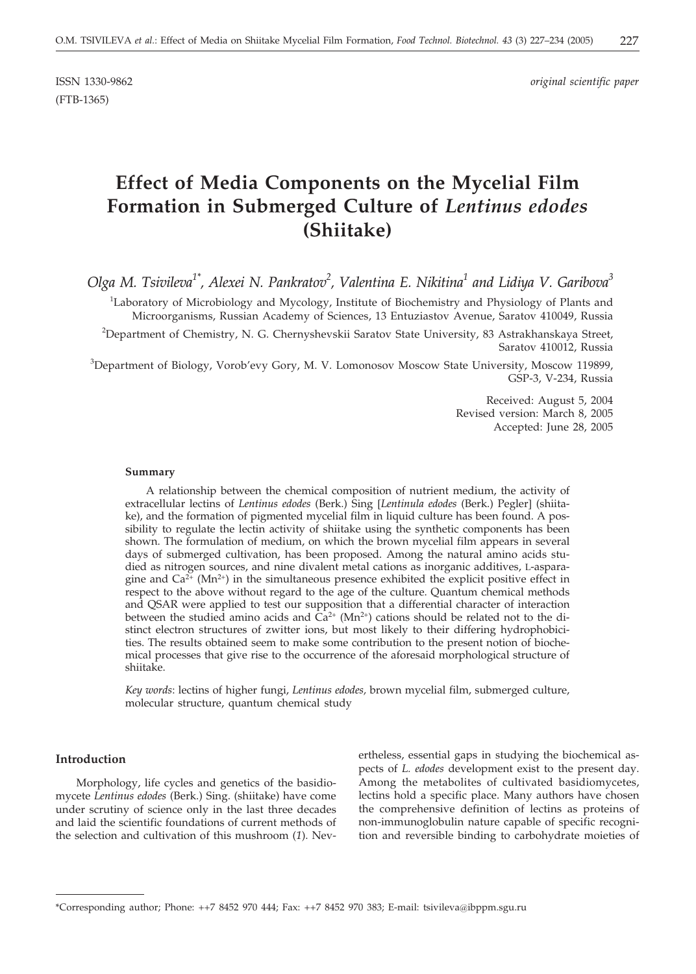(FTB-1365)

ISSN 1330-9862 *original scientific paper*

# **Effect of Media Components on the Mycelial Film Formation in Submerged Culture of** *Lentinus edodes* **(Shiitake)**

*Olga M. Tsivileva1\*, Alexei N. Pankratov2 , Valentina E. Nikitina1 and Lidiya V. Garibova3*

<sup>1</sup>Laboratory of Microbiology and Mycology, Institute of Biochemistry and Physiology of Plants and Microorganisms, Russian Academy of Sciences, 13 Entuziastov Avenue, Saratov 410049, Russia

2 Department of Chemistry, N. G. Chernyshevskii Saratov State University, 83 Astrakhanskaya Street, Saratov 410012, Russia

<sup>3</sup>Department of Biology, Vorob'evy Gory, M. V. Lomonosov Moscow State University, Moscow 119899, GSP-3, V-234, Russia

> Received: August 5, 2004 Revised version: March 8, 2005 Accepted: June 28, 2005

#### **Summary**

A relationship between the chemical composition of nutrient medium, the activity of extracellular lectins of *Lentinus edodes* (Berk.) Sing [*Lentinula edodes* (Berk.) Pegler] (shiitake), and the formation of pigmented mycelial film in liquid culture has been found. A possibility to regulate the lectin activity of shiitake using the synthetic components has been shown. The formulation of medium, on which the brown mycelial film appears in several days of submerged cultivation, has been proposed. Among the natural amino acids studied as nitrogen sources, and nine divalent metal cations as inorganic additives, L-asparagine and  $Ca^{2+}$  (Mn<sup>2+</sup>) in the simultaneous presence exhibited the explicit positive effect in respect to the above without regard to the age of the culture. Quantum chemical methods and QSAR were applied to test our supposition that a differential character of interaction between the studied amino acids and  $\hat{Ca}^{2+}$  (Mn<sup>2+</sup>) cations should be related not to the distinct electron structures of zwitter ions, but most likely to their differing hydrophobicities. The results obtained seem to make some contribution to the present notion of biochemical processes that give rise to the occurrence of the aforesaid morphological structure of shiitake.

*Key words*: lectins of higher fungi, *Lentinus edodes,* brown mycelial film, submerged culture, molecular structure, quantum chemical study

#### **Introduction**

Morphology, life cycles and genetics of the basidiomycete *Lentinus edodes* (Berk.) Sing. (shiitake) have come under scrutiny of science only in the last three decades and laid the scientific foundations of current methods of the selection and cultivation of this mushroom (*1*). Nevertheless, essential gaps in studying the biochemical aspects of *L. edodes* development exist to the present day. Among the metabolites of cultivated basidiomycetes, lectins hold a specific place. Many authors have chosen the comprehensive definition of lectins as proteins of non-immunoglobulin nature capable of specific recognition and reversible binding to carbohydrate moieties of

<sup>\*</sup>Corresponding author; Phone: ++7 8452 970 444; Fax: ++7 8452 970 383; E-mail: tsivileva*@*ibppm.sgu.ru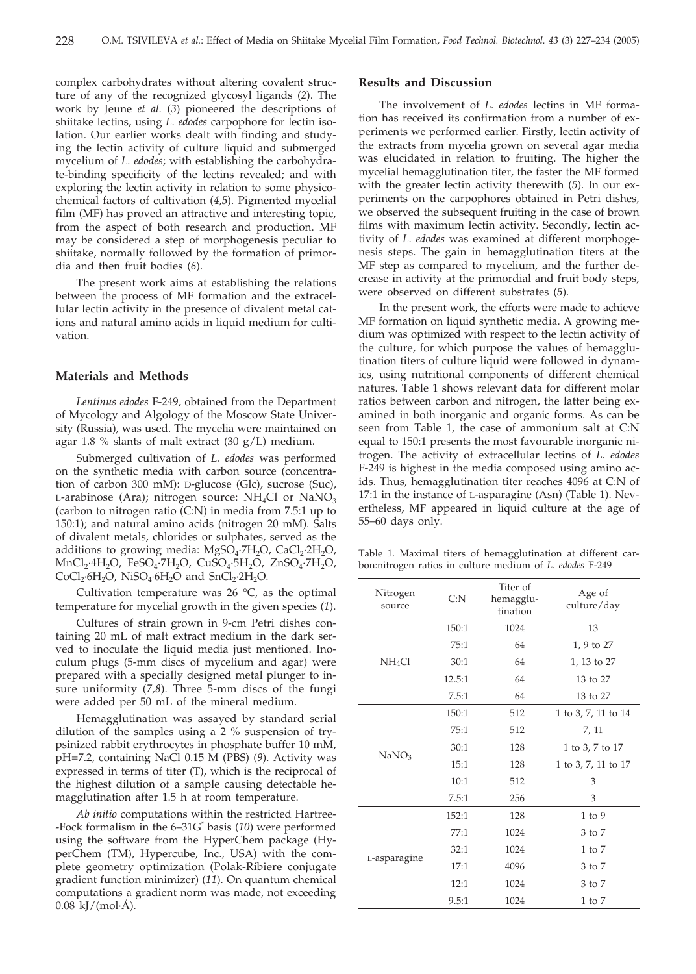complex carbohydrates without altering covalent structure of any of the recognized glycosyl ligands (*2*). The work by Jeune *et al.* (*3*) pioneered the descriptions of shiitake lectins, using *L. edodes* carpophore for lectin isolation. Our earlier works dealt with finding and studying the lectin activity of culture liquid and submerged mycelium of *L. edodes*; with establishing the carbohydrate-binding specificity of the lectins revealed; and with exploring the lectin activity in relation to some physicochemical factors of cultivation (*4,5*). Pigmented mycelial film (MF) has proved an attractive and interesting topic, from the aspect of both research and production. MF may be considered a step of morphogenesis peculiar to shiitake, normally followed by the formation of primordia and then fruit bodies (*6*).

The present work aims at establishing the relations between the process of MF formation and the extracellular lectin activity in the presence of divalent metal cations and natural amino acids in liquid medium for cultivation.

#### **Materials and Methods**

*Lentinus edodes* F-249, obtained from the Department of Mycology and Algology of the Moscow State University (Russia), was used. The mycelia were maintained on agar 1.8 % slants of malt extract  $(30 \text{ g/L})$  medium.

Submerged cultivation of *L. edodes* was performed on the synthetic media with carbon source (concentration of carbon 300 mM): D-glucose (Glc), sucrose (Suc), L-arabinose (Ara); nitrogen source:  $NH<sub>4</sub>Cl$  or  $NaNO<sub>3</sub>$ (carbon to nitrogen ratio (C:N) in media from 7.5:1 up to 150:1); and natural amino acids (nitrogen 20 mM). Salts of divalent metals, chlorides or sulphates, served as the additions to growing media:  $MgSO_4$ ·7H<sub>2</sub>O, CaCl<sub>2</sub>·2H<sub>2</sub>O,  $MnCl_2·4H_2O$ ,  $FeSO_4·7H_2O$ ,  $CuSO_4·5H_2O$ ,  $ZnSO_4·7H_2O$ ,  $CoCl<sub>2</sub>·6H<sub>2</sub>O$ , NiSO<sub>4</sub>·6H<sub>2</sub>O and SnCl<sub>2</sub>·2H<sub>2</sub>O.

Cultivation temperature was 26  $^{\circ}$ C, as the optimal temperature for mycelial growth in the given species (*1*).

Cultures of strain grown in 9-cm Petri dishes containing 20 mL of malt extract medium in the dark served to inoculate the liquid media just mentioned. Inoculum plugs (5-mm discs of mycelium and agar) were prepared with a specially designed metal plunger to insure uniformity (*7,8*). Three 5-mm discs of the fungi were added per 50 mL of the mineral medium.

Hemagglutination was assayed by standard serial dilution of the samples using a 2 % suspension of trypsinized rabbit erythrocytes in phosphate buffer 10 mM, pH=7.2, containing NaCl 0.15 M (PBS) (*9*). Activity was expressed in terms of titer (T), which is the reciprocal of the highest dilution of a sample causing detectable hemagglutination after 1.5 h at room temperature.

*Ab initio* computations within the restricted Hartree- -Fock formalism in the 6–31G\* basis (*10*) were performed using the software from the HyperChem package (HyperChem (TM), Hypercube, Inc., USA) with the complete geometry optimization (Polak-Ribiere conjugate gradient function minimizer) (*11*). On quantum chemical computations a gradient norm was made, not exceeding  $0.08 \text{ kJ/(mol·Å)}$ .

# **Results and Discussion**

The involvement of *L. edodes* lectins in MF formation has received its confirmation from a number of experiments we performed earlier. Firstly, lectin activity of the extracts from mycelia grown on several agar media was elucidated in relation to fruiting. The higher the mycelial hemagglutination titer, the faster the MF formed with the greater lectin activity therewith (*5*). In our experiments on the carpophores obtained in Petri dishes, we observed the subsequent fruiting in the case of brown films with maximum lectin activity. Secondly, lectin activity of *L. edodes* was examined at different morphogenesis steps. The gain in hemagglutination titers at the MF step as compared to mycelium, and the further decrease in activity at the primordial and fruit body steps, were observed on different substrates (*5*).

In the present work, the efforts were made to achieve MF formation on liquid synthetic media. A growing medium was optimized with respect to the lectin activity of the culture, for which purpose the values of hemagglutination titers of culture liquid were followed in dynamics, using nutritional components of different chemical natures. Table 1 shows relevant data for different molar ratios between carbon and nitrogen, the latter being examined in both inorganic and organic forms. As can be seen from Table 1, the case of ammonium salt at C:N equal to 150:1 presents the most favourable inorganic nitrogen. The activity of extracellular lectins of *L. edodes* F-249 is highest in the media composed using amino acids. Thus, hemagglutination titer reaches 4096 at C:N of 17:1 in the instance of L-asparagine (Asn) (Table 1). Nevertheless, MF appeared in liquid culture at the age of 55–60 days only.

Table 1. Maximal titers of hemagglutination at different carbon:nitrogen ratios in culture medium of *L. edodes* F-249

| Nitrogen<br>source | C: N   | Titer of<br>hemagglu-<br>tination | Age of<br>culture/day |  |
|--------------------|--------|-----------------------------------|-----------------------|--|
|                    | 150:1  | 1024                              | 13                    |  |
|                    | 75:1   | 64                                | 1, 9 to 27            |  |
| NH <sub>4</sub> Cl | 30:1   | 64                                | 1, 13 to 27           |  |
|                    | 12.5:1 | 64                                | 13 to 27              |  |
|                    | 7.5:1  | 64                                | 13 to 27              |  |
|                    | 150:1  | 512                               | 1 to 3, 7, 11 to 14   |  |
|                    | 75:1   | 512                               | 7, 11                 |  |
| NaNO <sub>3</sub>  | 30:1   | 128                               | 1 to 3, 7 to 17       |  |
|                    | 15:1   | 128                               | 1 to 3, 7, 11 to 17   |  |
|                    | 10:1   | 512                               | 3                     |  |
|                    | 7.5:1  | 256                               | 3                     |  |
|                    | 152:1  | 128                               | $1$ to $9$            |  |
| L-asparagine       | 77:1   | 1024                              | 3 to 7                |  |
|                    | 32:1   | 1024                              | $1$ to $7$            |  |
|                    | 17:1   | 4096                              | 3 to 7                |  |
|                    | 12:1   | 1024                              | 3 to 7                |  |
|                    | 9.5:1  | 1024                              | $1$ to $7$            |  |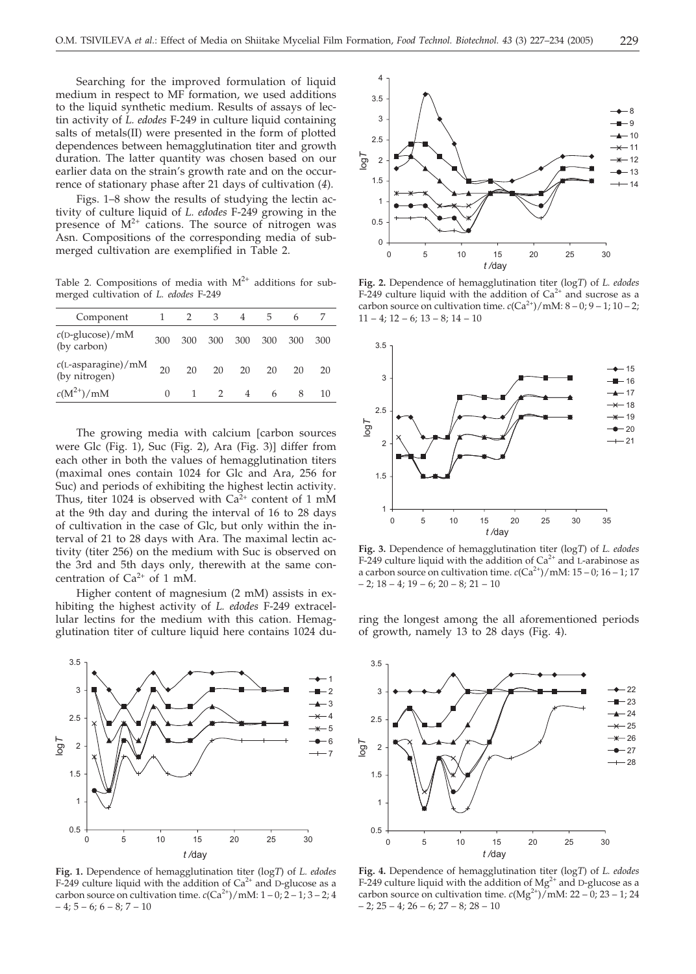Searching for the improved formulation of liquid medium in respect to MF formation, we used additions to the liquid synthetic medium. Results of assays of lectin activity of *L. edodes* F-249 in culture liquid containing salts of metals(II) were presented in the form of plotted dependences between hemagglutination titer and growth duration. The latter quantity was chosen based on our earlier data on the strain's growth rate and on the occurrence of stationary phase after 21 days of cultivation (*4*).

Figs. 1–8 show the results of studying the lectin activity of culture liquid of *L. edodes* F-249 growing in the presence of  $M^{2+}$  cations. The source of nitrogen was Asn. Compositions of the corresponding media of submerged cultivation are exemplified in Table 2.

Table 2. Compositions of media with  $M^{2+}$  additions for submerged cultivation of *L. edodes* F-249

| Component                               |          |     | 3   |     |     | h   |     |
|-----------------------------------------|----------|-----|-----|-----|-----|-----|-----|
| $c(D\text{-}glucose)/mM$<br>(by carbon) | 300      | 300 | 300 | 300 | 300 | 300 | 300 |
| $c$ (L-asparagine)/mM<br>(by nitrogen)  | 20       | 20  | 20  | 20  | 20  | 20  | 20  |
| $c(M^{2+})/mM$                          | $\Omega$ |     |     |     | 6   |     | 10  |

The growing media with calcium [carbon sources were Glc (Fig. 1), Suc (Fig. 2), Ara (Fig. 3)] differ from each other in both the values of hemagglutination titers (maximal ones contain 1024 for Glc and Ara, 256 for Suc) and periods of exhibiting the highest lectin activity. Thus, titer 1024 is observed with  $Ca^{2+}$  content of 1 mM at the 9th day and during the interval of 16 to 28 days of cultivation in the case of Glc, but only within the interval of 21 to 28 days with Ara. The maximal lectin activity (titer 256) on the medium with Suc is observed on the 3rd and 5th days only, therewith at the same concentration of  $Ca^{2+}$  of 1 mM.

Higher content of magnesium (2 mM) assists in exhibiting the highest activity of *L. edodes* F-249 extracellular lectins for the medium with this cation. Hemagglutination titer of culture liquid here contains 1024 du-



**Fig. 1.** Dependence of hemagglutination titer (log*T*) of *L. edodes* F-249 culture liquid with the addition of  $Ca^{2+}$  and D-glucose as a carbon source on cultivation time.  $c(Ca^{2+})/mM: 1-0, 2-1, 3-2, 4$  $-4$ ; 5 – 6; 6 – 8; 7 – 10



**Fig. 2.** Dependence of hemagglutination titer (log*T*) of *L. edodes* F-249 culture liquid with the addition of  $Ca^{2+}$  and sucrose as a carbon source on cultivation time.  $c(Ca^{2+})/mM: 8-0; 9-1; 10-2;$  $11 - 4$ ;  $12 - 6$ ;  $13 - 8$ ;  $14 - 10$ 



**Fig. 3.** Dependence of hemagglutination titer (log*T*) of *L. edodes* F-249 culture liquid with the addition of  $Ca^{2+}$  and L-arabinose as a carbon source on cultivation time.  $c(Ca^{2+})/mM: 15-0; 16-1; 17$  $- 2$ ;  $18 - 4$ ;  $19 - 6$ ;  $20 - 8$ ;  $21 - 10$ 

ring the longest among the all aforementioned periods of growth, namely 13 to 28 days (Fig. 4).



**Fig. 4.** Dependence of hemagglutination titer (log*T*) of *L. edodes* F-249 culture liquid with the addition of  $Mg^{2+}$  and D-glucose as a carbon source on cultivation time.  $c(Mg^{2+})/mM$ : 22 – 0; 23 – 1; 24  $-2$ ;  $25 - 4$ ;  $26 - 6$ ;  $27 - 8$ ;  $28 - 10$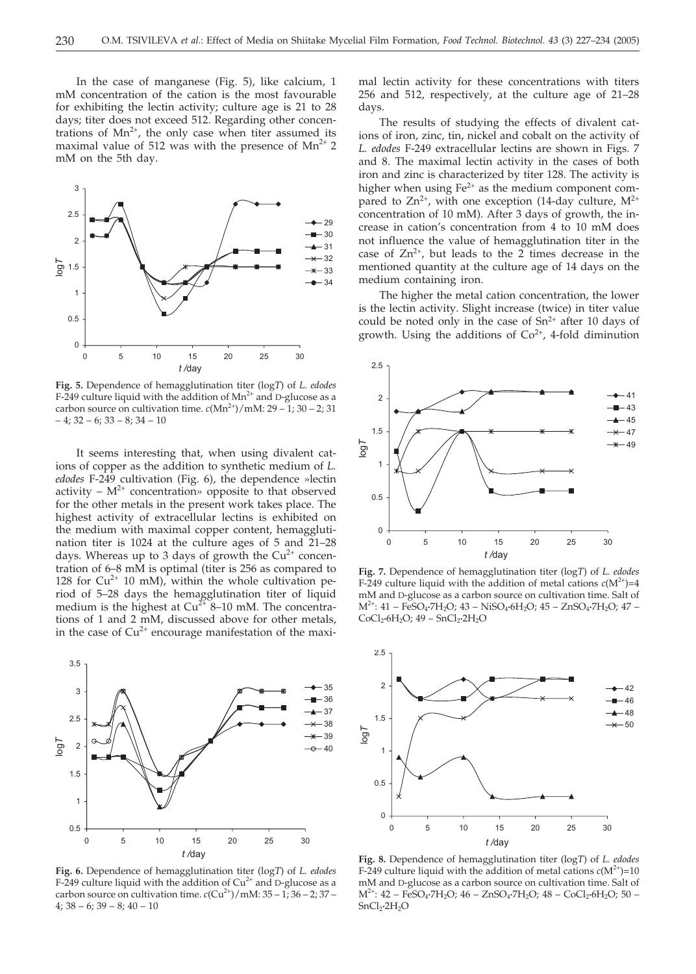In the case of manganese (Fig. 5), like calcium, 1 mM concentration of the cation is the most favourable for exhibiting the lectin activity; culture age is 21 to 28 days; titer does not exceed 512. Regarding other concentrations of  $Mn^{2+}$ , the only case when titer assumed its maximal value of 512 was with the presence of  $Mn^{2+}$  2 mM on the 5th day.



**Fig. 5.** Dependence of hemagglutination titer (log*T*) of *L. edodes* F-249 culture liquid with the addition of  $Mn^{2+}$  and D-glucose as a carbon source on cultivation time.  $c(Mn^{2+})/mM$ : 29 – 1; 30 – 2; 31  $-4$ ; 32 – 6; 33 – 8; 34 – 10

It seems interesting that, when using divalent cations of copper as the addition to synthetic medium of *L. edodes* F-249 cultivation (Fig. 6), the dependence »lectin activity –  $M^{2+}$  concentration» opposite to that observed for the other metals in the present work takes place. The highest activity of extracellular lectins is exhibited on the medium with maximal copper content, hemagglutination titer is 1024 at the culture ages of 5 and 21–28 days. Whereas up to 3 days of growth the  $Cu<sup>2+</sup>$  concentration of 6–8 mM is optimal (titer is 256 as compared to 128 for  $Cu^{2+}$  10 mM), within the whole cultivation period of 5–28 days the hemagglutination titer of liquid medium is the highest at  $Cu^{2+}$  8–10 mM. The concentrations of 1 and 2 mM, discussed above for other metals, in the case of  $Cu^{2+}$  encourage manifestation of the maxi-



**Fig. 6.** Dependence of hemagglutination titer (log*T*) of *L. edodes* F-249 culture liquid with the addition of  $Cu^{2+}$  and D-glucose as a carbon source on cultivation time.  $c$ ( $Cu^{2+}$ )/mM:  $35 - 1$ ;  $36 - 2$ ;  $37 4; 38 - 6; 39 - 8; 40 - 10$ 

mal lectin activity for these concentrations with titers 256 and 512, respectively, at the culture age of 21–28 days.

The results of studying the effects of divalent cations of iron, zinc, tin, nickel and cobalt on the activity of *L. edodes* F-249 extracellular lectins are shown in Figs. 7 and 8. The maximal lectin activity in the cases of both iron and zinc is characterized by titer 128. The activity is higher when using  $Fe^{2+}$  as the medium component compared to  $Zn^{2+}$ , with one exception (14-day culture,  $M^{2+}$ concentration of 10 mM). After 3 days of growth, the increase in cation's concentration from 4 to 10 mM does not influence the value of hemagglutination titer in the case of  $Zn^{2+}$ , but leads to the 2 times decrease in the mentioned quantity at the culture age of 14 days on the medium containing iron.

The higher the metal cation concentration, the lower is the lectin activity. Slight increase (twice) in titer value could be noted only in the case of  $Sn^{2+}$  after 10 days of growth. Using the additions of  $Co<sup>2+</sup>$ , 4-fold diminution



**Fig. 7.** Dependence of hemagglutination titer (log*T*) of *L. edodes* F-249 culture liquid with the addition of metal cations  $c(M^{2+})=4$ mM and D-glucose as a carbon source on cultivation time. Salt of M2+: 41 – FeSO4**·**7H2O; 43 – NiSO4**·**6H2O; 45 – ZnSO4**·**7H2O; 47 – CoCl<sub>2</sub>·6H<sub>2</sub>O; 49 – SnCl<sub>2</sub>·2H<sub>2</sub>O



**Fig. 8.** Dependence of hemagglutination titer (log*T*) of *L. edodes* F-249 culture liquid with the addition of metal cations  $c(M^{2+})=10$ mM and D-glucose as a carbon source on cultivation time. Salt of M2+: 42 – FeSO4**·**7H2O; 46 – ZnSO4**·**7H2O; 48 – CoCl2**·**6H2O; 50 – SnCl2**·**2H2O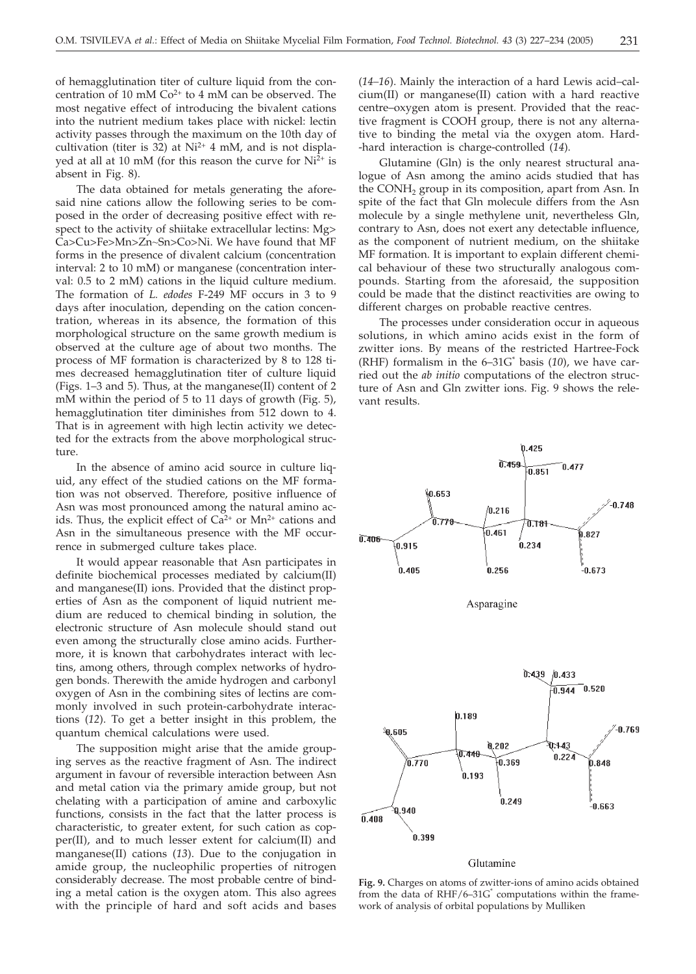of hemagglutination titer of culture liquid from the concentration of 10 mM  $Co<sup>2+</sup>$  to 4 mM can be observed. The most negative effect of introducing the bivalent cations into the nutrient medium takes place with nickel: lectin activity passes through the maximum on the 10th day of cultivation (titer is 32) at  $Ni^{2+}$  4 mM, and is not displayed at all at 10 mM (for this reason the curve for  $Ni<sup>2+</sup>$  is absent in Fig. 8).

The data obtained for metals generating the aforesaid nine cations allow the following series to be composed in the order of decreasing positive effect with respect to the activity of shiitake extracellular lectins: Mg> Ca>Cu>Fe>Mn>Zn~Sn>Co>Ni. We have found that MF forms in the presence of divalent calcium (concentration interval: 2 to 10 mM) or manganese (concentration interval: 0.5 to 2 mM) cations in the liquid culture medium. The formation of *L. edodes* F-249 MF occurs in 3 to 9 days after inoculation, depending on the cation concentration, whereas in its absence, the formation of this morphological structure on the same growth medium is observed at the culture age of about two months. The process of MF formation is characterized by 8 to 128 times decreased hemagglutination titer of culture liquid (Figs. 1–3 and 5). Thus, at the manganese(II) content of 2 mM within the period of 5 to 11 days of growth (Fig. 5), hemagglutination titer diminishes from 512 down to 4. That is in agreement with high lectin activity we detected for the extracts from the above morphological structure.

In the absence of amino acid source in culture liquid, any effect of the studied cations on the MF formation was not observed. Therefore, positive influence of Asn was most pronounced among the natural amino acids. Thus, the explicit effect of  $Ca^{2+}$  or  $Mn^{2+}$  cations and Asn in the simultaneous presence with the MF occurrence in submerged culture takes place.

It would appear reasonable that Asn participates in definite biochemical processes mediated by calcium(II) and manganese(II) ions. Provided that the distinct properties of Asn as the component of liquid nutrient medium are reduced to chemical binding in solution, the electronic structure of Asn molecule should stand out even among the structurally close amino acids. Furthermore, it is known that carbohydrates interact with lectins, among others, through complex networks of hydrogen bonds. Therewith the amide hydrogen and carbonyl oxygen of Asn in the combining sites of lectins are commonly involved in such protein-carbohydrate interactions (*12*). To get a better insight in this problem, the quantum chemical calculations were used.

The supposition might arise that the amide grouping serves as the reactive fragment of Asn. The indirect argument in favour of reversible interaction between Asn and metal cation via the primary amide group, but not chelating with a participation of amine and carboxylic functions, consists in the fact that the latter process is characteristic, to greater extent, for such cation as copper(II), and to much lesser extent for calcium(II) and manganese(II) cations (*13*). Due to the conjugation in amide group, the nucleophilic properties of nitrogen considerably decrease. The most probable centre of binding a metal cation is the oxygen atom. This also agrees with the principle of hard and soft acids and bases (*14–16*). Mainly the interaction of a hard Lewis acid–calcium(II) or manganese(II) cation with a hard reactive centre–oxygen atom is present. Provided that the reactive fragment is COOH group, there is not any alternative to binding the metal via the oxygen atom. Hard- -hard interaction is charge-controlled (*14*).

Glutamine (Gln) is the only nearest structural analogue of Asn among the amino acids studied that has the CONH<sub>2</sub> group in its composition, apart from Asn. In spite of the fact that Gln molecule differs from the Asn molecule by a single methylene unit, nevertheless Gln, contrary to Asn, does not exert any detectable influence, as the component of nutrient medium, on the shiitake MF formation. It is important to explain different chemical behaviour of these two structurally analogous compounds. Starting from the aforesaid, the supposition could be made that the distinct reactivities are owing to different charges on probable reactive centres.

The processes under consideration occur in aqueous solutions, in which amino acids exist in the form of zwitter ions. By means of the restricted Hartree-Fock (RHF) formalism in the 6–31G\* basis (*10*), we have carried out the *ab initio* computations of the electron structure of Asn and Gln zwitter ions. Fig. 9 shows the relevant results.



#### Glutamine

**Fig. 9.** Charges on atoms of zwitter-ions of amino acids obtained from the data of  $RHF/6-31G^*$  computations within the framework of analysis of orbital populations by Mulliken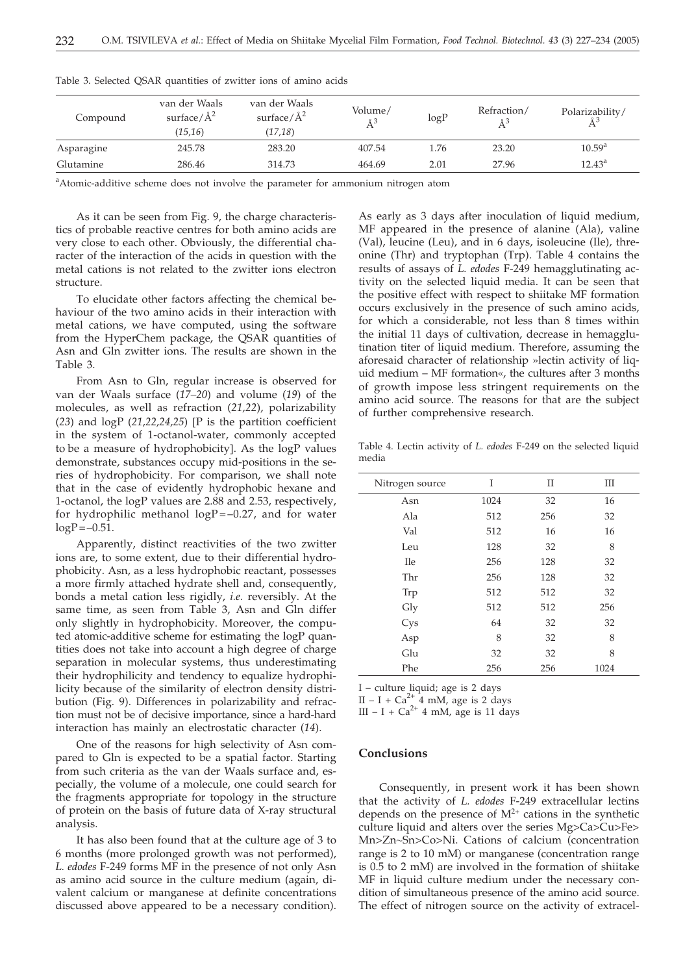| Compound   | van der Waals<br>surface/ $\AA^2$<br>(15,16) | van der Waals<br>surface/ $\AA^2$<br>(17, 18) | Volume/<br>$\AA^3$ | logP | Refraction/ | Polarizability/ |
|------------|----------------------------------------------|-----------------------------------------------|--------------------|------|-------------|-----------------|
| Asparagine | 245.78                                       | 283.20                                        | 407.54             | 1.76 | 23.20       | $10.59^{\rm a}$ |
| Glutamine  | 286.46                                       | 314.73                                        | 464.69             | 2.01 | 27.96       | $12.43^{\circ}$ |

Table 3. Selected QSAR quantities of zwitter ions of amino acids

<sup>a</sup>Atomic-additive scheme does not involve the parameter for ammonium nitrogen atom

As it can be seen from Fig. 9, the charge characteristics of probable reactive centres for both amino acids are very close to each other. Obviously, the differential character of the interaction of the acids in question with the metal cations is not related to the zwitter ions electron structure.

To elucidate other factors affecting the chemical behaviour of the two amino acids in their interaction with metal cations, we have computed, using the software from the HyperChem package, the QSAR quantities of Asn and Gln zwitter ions. The results are shown in the Table 3.

From Asn to Gln, regular increase is observed for van der Waals surface (*17–20*) and volume (*19*) of the molecules, as well as refraction (*21,22*), polarizability  $(23)$  and  $logP$   $(21,22,24,25)$  [P is the partition coefficient in the system of 1-octanol-water, commonly accepted to be a measure of hydrophobicity]. As the logP values demonstrate, substances occupy mid-positions in the series of hydrophobicity. For comparison, we shall note that in the case of evidently hydrophobic hexane and 1-octanol, the logP values are 2.88 and 2.53, respectively, for hydrophilic methanol  $logP = -0.27$ , and for water  $logP = -0.51$ .

Apparently, distinct reactivities of the two zwitter ions are, to some extent, due to their differential hydrophobicity. Asn, as a less hydrophobic reactant, possesses a more firmly attached hydrate shell and, consequently, bonds a metal cation less rigidly, *i.e.* reversibly. At the same time, as seen from Table 3, Asn and Gln differ only slightly in hydrophobicity. Moreover, the computed atomic-additive scheme for estimating the logP quantities does not take into account a high degree of charge separation in molecular systems, thus underestimating their hydrophilicity and tendency to equalize hydrophilicity because of the similarity of electron density distribution (Fig. 9). Differences in polarizability and refraction must not be of decisive importance, since a hard-hard interaction has mainly an electrostatic character (*14*).

One of the reasons for high selectivity of Asn compared to Gln is expected to be a spatial factor. Starting from such criteria as the van der Waals surface and, especially, the volume of a molecule, one could search for the fragments appropriate for topology in the structure of protein on the basis of future data of X-ray structural analysis.

It has also been found that at the culture age of 3 to 6 months (more prolonged growth was not performed), *L. edodes* F-249 forms MF in the presence of not only Asn as amino acid source in the culture medium (again, divalent calcium or manganese at definite concentrations discussed above appeared to be a necessary condition).

As early as 3 days after inoculation of liquid medium, MF appeared in the presence of alanine (Ala), valine (Val), leucine (Leu), and in 6 days, isoleucine (Ile), threonine (Thr) and tryptophan (Trp). Table 4 contains the results of assays of *L. edodes* F-249 hemagglutinating activity on the selected liquid media. It can be seen that the positive effect with respect to shiitake MF formation occurs exclusively in the presence of such amino acids, for which a considerable, not less than 8 times within the initial 11 days of cultivation, decrease in hemagglutination titer of liquid medium. Therefore, assuming the aforesaid character of relationship »lectin activity of liquid medium – MF formation«, the cultures after 3 months of growth impose less stringent requirements on the amino acid source. The reasons for that are the subject of further comprehensive research.

Table 4. Lectin activity of *L. edodes* F-249 on the selected liquid media

| Nitrogen source | I    | П   | Ш    |
|-----------------|------|-----|------|
| Asn             | 1024 | 32  | 16   |
| Ala             | 512  | 256 | 32   |
| Val             | 512  | 16  | 16   |
| Leu             | 128  | 32  | 8    |
| <b>Ile</b>      | 256  | 128 | 32   |
| Thr             | 256  | 128 | 32   |
| Trp             | 512  | 512 | 32   |
| Gly             | 512  | 512 | 256  |
| Cys             | 64   | 32  | 32   |
| Asp             | 8    | 32  | 8    |
| Glu             | 32   | 32  | 8    |
| Phe             | 256  | 256 | 1024 |

I – culture liquid; age is 2 days

II – I + Ca<sup>2+</sup> 4 mM, age is 2 days

III – I + Ca<sup>2+</sup> 4 mM, age is 2 days<br>III – I + Ca<sup>2+</sup> 4 mM, age is 11 days

## **Conclusions**

Consequently, in present work it has been shown that the activity of *L. edodes* F-249 extracellular lectins depends on the presence of  $M^{2+}$  cations in the synthetic culture liquid and alters over the series Mg>Ca>Cu>Fe> Mn>Zn~Sn>Co>Ni. Cations of calcium (concentration range is 2 to 10 mM) or manganese (concentration range is 0.5 to 2 mM) are involved in the formation of shiitake MF in liquid culture medium under the necessary condition of simultaneous presence of the amino acid source. The effect of nitrogen source on the activity of extracel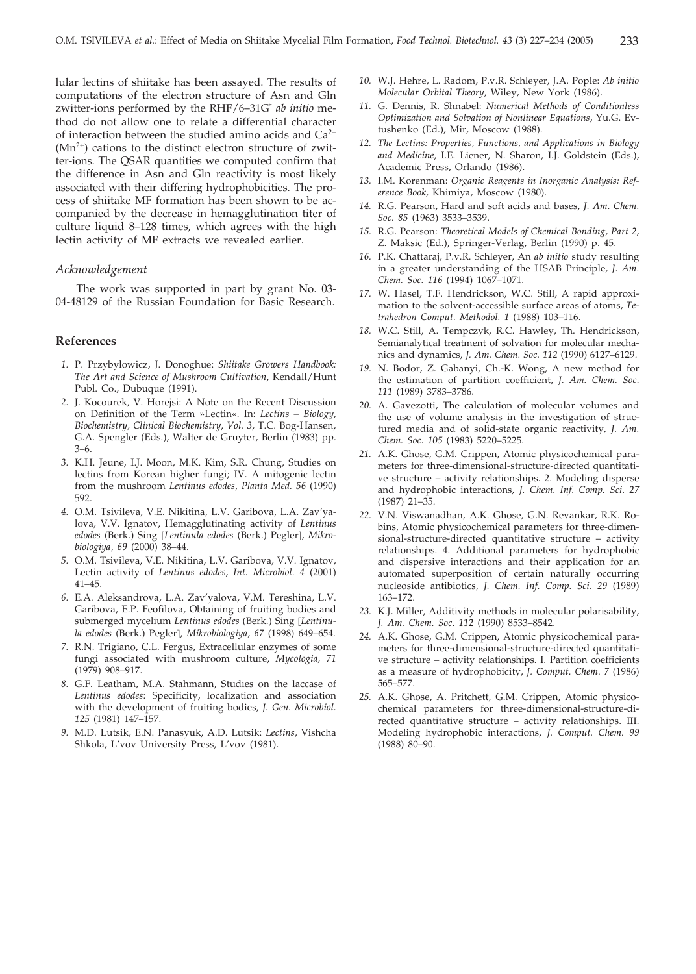lular lectins of shiitake has been assayed. The results of computations of the electron structure of Asn and Gln zwitter-ions performed by the RHF/6–31G\* *ab initio* method do not allow one to relate a differential character of interaction between the studied amino acids and  $Ca^{2+}$  $(Mn^{2+})$  cations to the distinct electron structure of zwitter-ions. The QSAR quantities we computed confirm that the difference in Asn and Gln reactivity is most likely associated with their differing hydrophobicities. The process of shiitake MF formation has been shown to be accompanied by the decrease in hemagglutination titer of culture liquid 8–128 times, which agrees with the high lectin activity of MF extracts we revealed earlier.

### *Acknowledgement*

The work was supported in part by grant No. 03- 04-48129 of the Russian Foundation for Basic Research.

#### **References**

- *1.* P. Przybylowicz, J. Donoghue: *Shiitake Growers Handbook: The Art and Science of Mushroom Cultivation*, Kendall/Hunt Publ. Co., Dubuque (1991).
- *2.* J. Kocourek, V. Horejsi: A Note on the Recent Discussion on Definition of the Term »Lectin«. In: *Lectins – Biology, Biochemistry, Clinical Biochemistry*, *Vol. 3*, T.C. Bog-Hansen, G.A. Spengler (Eds.), Walter de Gruyter, Berlin (1983) pp. 3–6.
- *3.* K.H. Jeune, I.J. Moon, M.K. Kim, S.R. Chung, Studies on lectins from Korean higher fungi; IV. A mitogenic lectin from the mushroom *Lentinus edodes*, *Planta Med. 56* (1990) 592.
- *4.* O.M. Tsivileva, V.E. Nikitina, L.V. Garibova, L.A. Zav'yalova, V.V. Ignatov, Hemagglutinating activity of *Lentinus* edodes (Berk.) Sing [Lentinula edodes (Berk.) Pegler], Mikro*biologiya*, *69* (2000) 38–44.
- *5.* O.M. Tsivileva, V.E. Nikitina, L.V. Garibova, V.V. Ignatov, Lectin activity of *Lentinus edodes*, *Int. Microbiol. 4* (2001) 41–45.
- *6.* E.A. Aleksandrova, L.A. Zav'yalova, V.M. Tereshina, L.V. Garibova, E.P. Feofilova, Obtaining of fruiting bodies and submerged mycelium *Lentinus edodes* (Berk.) Sing *Lentinu*la edodes (Berk.) Pegler], Mikrobiologiya, 67 (1998) 649–654.
- *7.* R.N. Trigiano, C.L. Fergus, Extracellular enzymes of some fungi associated with mushroom culture, *Mycologia, 71* (1979) 908–917.
- *8.* G.F. Leatham, M.A. Stahmann, Studies on the laccase of *Lentinus edodes*: Specificity, localization and association with the development of fruiting bodies, *J. Gen. Microbiol. 125* (1981) 147–157.
- *9.* M.D. Lutsik, E.N. Panasyuk, A.D. Lutsik: *Lectins*, Vishcha Shkola, L'vov University Press, L'vov (1981).
- *10.* W.J. Hehre, L. Radom, P.v.R. Schleyer, J.A. Pople: *Ab initio Molecular Orbital Theory*, Wiley, New York (1986).
- *11.* G. Dennis, R. Shnabel: *Numerical Methods of Conditionless Optimization and Solvation of Nonlinear Equations*, Yu.G. Evtushenko (Ed.), Mir, Moscow (1988).
- *12. The Lectins: Properties, Functions, and Applications in Biology and Medicine*, I.E. Liener, N. Sharon, I.J. Goldstein (Eds.), Academic Press, Orlando (1986).
- *13.* I.M. Korenman: *Organic Reagents in Inorganic Analysis: Reference Book*, Khimiya, Moscow (1980).
- *14.* R.G. Pearson, Hard and soft acids and bases, *J. Am. Chem. Soc. 85* (1963) 3533–3539.
- *15.* R.G. Pearson: *Theoretical Models of Chemical Bonding*, *Part 2,* Z. Maksic (Ed.), Springer-Verlag, Berlin (1990) p. 45.
- *16.* P.K. Chattaraj, P.v.R. Schleyer, An *ab initio* study resulting in a greater understanding of the HSAB Principle, *J. Am. Chem. Soc. 116* (1994) 1067–1071.
- *17.* W. Hasel, T.F. Hendrickson, W.C. Still, A rapid approximation to the solvent-accessible surface areas of atoms, *Tetrahedron Comput. Methodol. 1* (1988) 103–116.
- *18.* W.C. Still, A. Tempczyk, R.C. Hawley, Th. Hendrickson, Semianalytical treatment of solvation for molecular mechanics and dynamics, *J. Am. Chem. Soc. 112* (1990) 6127–6129.
- *19.* N. Bodor, Z. Gabanyi, Ch.-K. Wong, A new method for the estimation of partition coefficient, *J. Am. Chem. Soc*. *111* (1989) 3783–3786.
- *20.* A. Gavezotti, The calculation of molecular volumes and the use of volume analysis in the investigation of structured media and of solid-state organic reactivity, *J. Am. Chem. Soc*. *105* (1983) 5220–5225.
- *21.* A.K. Ghose, G.M. Crippen, Atomic physicochemical parameters for three-dimensional-structure-directed quantitative structure – activity relationships. 2. Modeling disperse and hydrophobic interactions, *J. Chem. Inf. Comp. Sci*. *27* (1987) 21–35.
- *22.* V.N. Viswanadhan, A.K. Ghose, G.N. Revankar, R.K. Robins, Atomic physicochemical parameters for three-dimensional-structure-directed quantitative structure – activity relationships. 4. Additional parameters for hydrophobic and dispersive interactions and their application for an automated superposition of certain naturally occurring nucleoside antibiotics, *J. Chem. Inf. Comp. Sci*. *29* (1989) 163–172.
- *23.* K.J. Miller, Additivity methods in molecular polarisability, *J. Am. Chem. Soc*. *112* (1990) 8533–8542.
- *24.* A.K. Ghose, G.M. Crippen, Atomic physicochemical parameters for three-dimensional-structure-directed quantitative structure – activity relationships. I. Partition coefficients as a measure of hydrophobicity, *J. Comput. Chem*. *7* (1986) 565–577.
- *25.* A.K. Ghose, A. Pritchett, G.M. Crippen, Atomic physicochemical parameters for three-dimensional-structure-directed quantitative structure – activity relationships. III. Modeling hydrophobic interactions, *J. Comput. Chem. 99* (1988) 80–90.